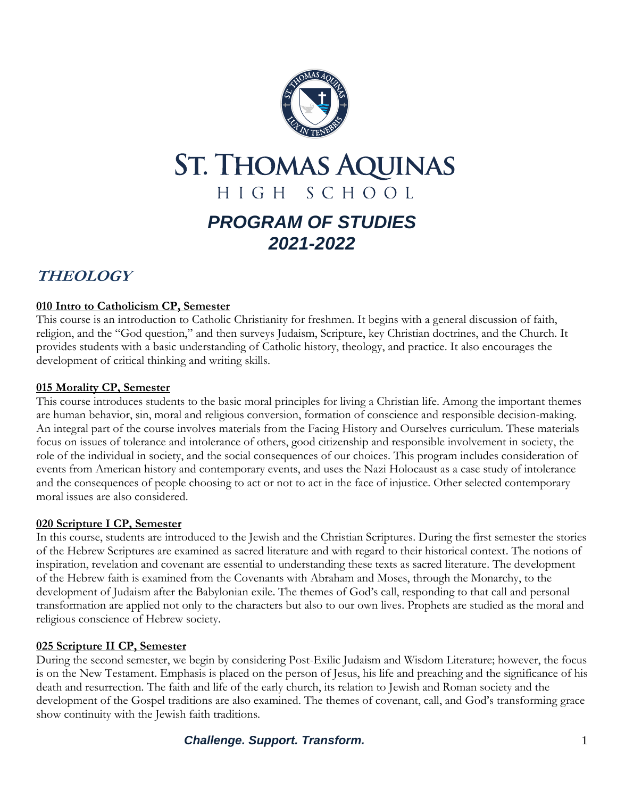

# **ST. THOMAS AQUINAS** HIGH SCHOOL *PROGRAM OF STUDIES 2021-2022*

## **THEOLOGY**

## **010 Intro to Catholicism CP, Semester**

This course is an introduction to Catholic Christianity for freshmen. It begins with a general discussion of faith, religion, and the "God question," and then surveys Judaism, Scripture, key Christian doctrines, and the Church. It provides students with a basic understanding of Catholic history, theology, and practice. It also encourages the development of critical thinking and writing skills.

## **015 Morality CP, Semester**

This course introduces students to the basic moral principles for living a Christian life. Among the important themes are human behavior, sin, moral and religious conversion, formation of conscience and responsible decision-making. An integral part of the course involves materials from the Facing History and Ourselves curriculum. These materials focus on issues of tolerance and intolerance of others, good citizenship and responsible involvement in society, the role of the individual in society, and the social consequences of our choices. This program includes consideration of events from American history and contemporary events, and uses the Nazi Holocaust as a case study of intolerance and the consequences of people choosing to act or not to act in the face of injustice. Other selected contemporary moral issues are also considered.

#### **020 Scripture I CP, Semester**

In this course, students are introduced to the Jewish and the Christian Scriptures. During the first semester the stories of the Hebrew Scriptures are examined as sacred literature and with regard to their historical context. The notions of inspiration, revelation and covenant are essential to understanding these texts as sacred literature. The development of the Hebrew faith is examined from the Covenants with Abraham and Moses, through the Monarchy, to the development of Judaism after the Babylonian exile. The themes of God's call, responding to that call and personal transformation are applied not only to the characters but also to our own lives. Prophets are studied as the moral and religious conscience of Hebrew society.

## **025 Scripture II CP, Semester**

During the second semester, we begin by considering Post-Exilic Judaism and Wisdom Literature; however, the focus is on the New Testament. Emphasis is placed on the person of Jesus, his life and preaching and the significance of his death and resurrection. The faith and life of the early church, its relation to Jewish and Roman society and the development of the Gospel traditions are also examined. The themes of covenant, call, and God's transforming grace show continuity with the Jewish faith traditions.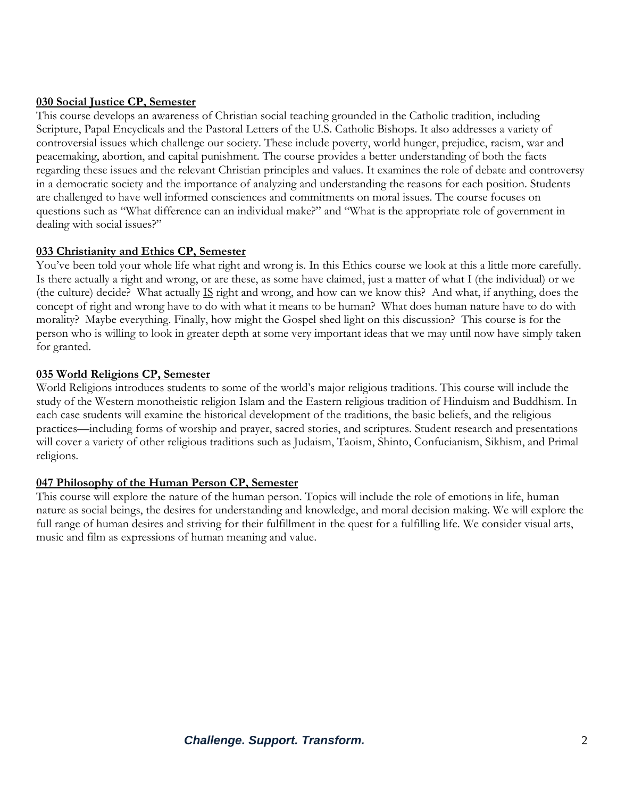#### **030 Social Justice CP, Semester**

This course develops an awareness of Christian social teaching grounded in the Catholic tradition, including Scripture, Papal Encyclicals and the Pastoral Letters of the U.S. Catholic Bishops. It also addresses a variety of controversial issues which challenge our society. These include poverty, world hunger, prejudice, racism, war and peacemaking, abortion, and capital punishment. The course provides a better understanding of both the facts regarding these issues and the relevant Christian principles and values. It examines the role of debate and controversy in a democratic society and the importance of analyzing and understanding the reasons for each position. Students are challenged to have well informed consciences and commitments on moral issues. The course focuses on questions such as "What difference can an individual make?" and "What is the appropriate role of government in dealing with social issues?"

#### **033 Christianity and Ethics CP, Semester**

You've been told your whole life what right and wrong is. In this Ethics course we look at this a little more carefully. Is there actually a right and wrong, or are these, as some have claimed, just a matter of what I (the individual) or we (the culture) decide? What actually  $\underline{IS}$  right and wrong, and how can we know this? And what, if anything, does the concept of right and wrong have to do with what it means to be human? What does human nature have to do with morality? Maybe everything. Finally, how might the Gospel shed light on this discussion? This course is for the person who is willing to look in greater depth at some very important ideas that we may until now have simply taken for granted.

#### **035 World Religions CP, Semester**

World Religions introduces students to some of the world's major religious traditions. This course will include the study of the Western monotheistic religion Islam and the Eastern religious tradition of Hinduism and Buddhism. In each case students will examine the historical development of the traditions, the basic beliefs, and the religious practices—including forms of worship and prayer, sacred stories, and scriptures. Student research and presentations will cover a variety of other religious traditions such as Judaism, Taoism, Shinto, Confucianism, Sikhism, and Primal religions.

#### **047 Philosophy of the Human Person CP, Semester**

This course will explore the nature of the human person. Topics will include the role of emotions in life, human nature as social beings, the desires for understanding and knowledge, and moral decision making. We will explore the full range of human desires and striving for their fulfillment in the quest for a fulfilling life. We consider visual arts, music and film as expressions of human meaning and value.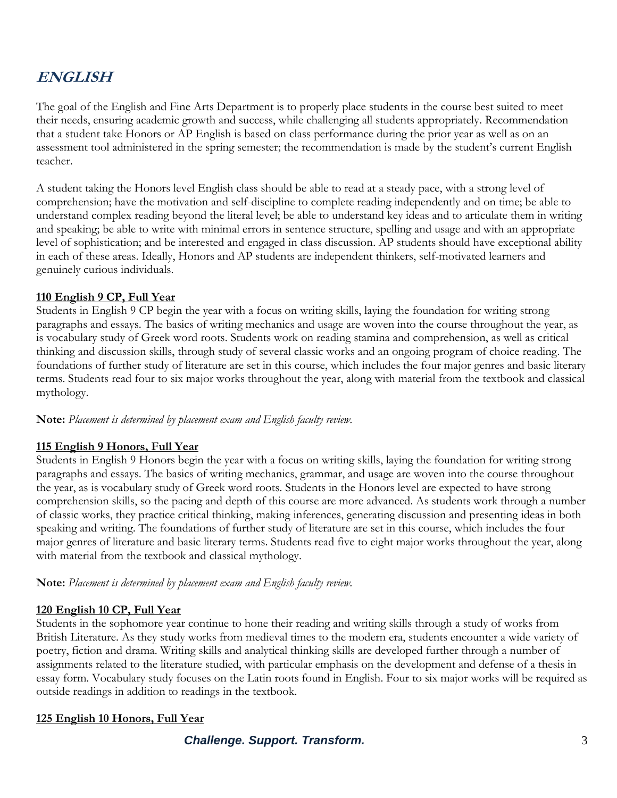## **ENGLISH**

The goal of the English and Fine Arts Department is to properly place students in the course best suited to meet their needs, ensuring academic growth and success, while challenging all students appropriately. Recommendation that a student take Honors or AP English is based on class performance during the prior year as well as on an assessment tool administered in the spring semester; the recommendation is made by the student's current English teacher.

A student taking the Honors level English class should be able to read at a steady pace, with a strong level of comprehension; have the motivation and self-discipline to complete reading independently and on time; be able to understand complex reading beyond the literal level; be able to understand key ideas and to articulate them in writing and speaking; be able to write with minimal errors in sentence structure, spelling and usage and with an appropriate level of sophistication; and be interested and engaged in class discussion. AP students should have exceptional ability in each of these areas. Ideally, Honors and AP students are independent thinkers, self-motivated learners and genuinely curious individuals.

#### **110 English 9 CP, Full Year**

Students in English 9 CP begin the year with a focus on writing skills, laying the foundation for writing strong paragraphs and essays. The basics of writing mechanics and usage are woven into the course throughout the year, as is vocabulary study of Greek word roots. Students work on reading stamina and comprehension, as well as critical thinking and discussion skills, through study of several classic works and an ongoing program of choice reading. The foundations of further study of literature are set in this course, which includes the four major genres and basic literary terms. Students read four to six major works throughout the year, along with material from the textbook and classical mythology.

#### **Note:** *Placement is determined by placement exam and English faculty review.*

#### **115 English 9 Honors, Full Year**

Students in English 9 Honors begin the year with a focus on writing skills, laying the foundation for writing strong paragraphs and essays. The basics of writing mechanics, grammar, and usage are woven into the course throughout the year, as is vocabulary study of Greek word roots. Students in the Honors level are expected to have strong comprehension skills, so the pacing and depth of this course are more advanced. As students work through a number of classic works, they practice critical thinking, making inferences, generating discussion and presenting ideas in both speaking and writing. The foundations of further study of literature are set in this course, which includes the four major genres of literature and basic literary terms. Students read five to eight major works throughout the year, along with material from the textbook and classical mythology.

#### **Note:** *Placement is determined by placement exam and English faculty review.*

#### **120 English 10 CP, Full Year**

Students in the sophomore year continue to hone their reading and writing skills through a study of works from British Literature. As they study works from medieval times to the modern era, students encounter a wide variety of poetry, fiction and drama. Writing skills and analytical thinking skills are developed further through a number of assignments related to the literature studied, with particular emphasis on the development and defense of a thesis in essay form. Vocabulary study focuses on the Latin roots found in English. Four to six major works will be required as outside readings in addition to readings in the textbook.

#### **125 English 10 Honors, Full Year**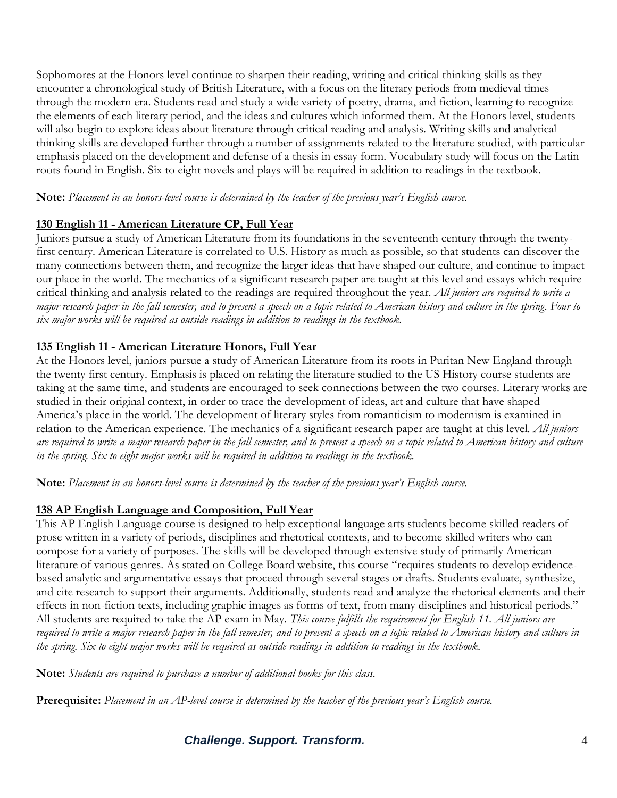Sophomores at the Honors level continue to sharpen their reading, writing and critical thinking skills as they encounter a chronological study of British Literature, with a focus on the literary periods from medieval times through the modern era. Students read and study a wide variety of poetry, drama, and fiction, learning to recognize the elements of each literary period, and the ideas and cultures which informed them. At the Honors level, students will also begin to explore ideas about literature through critical reading and analysis. Writing skills and analytical thinking skills are developed further through a number of assignments related to the literature studied, with particular emphasis placed on the development and defense of a thesis in essay form. Vocabulary study will focus on the Latin roots found in English. Six to eight novels and plays will be required in addition to readings in the textbook.

**Note:** *Placement in an honors-level course is determined by the teacher of the previous year's English course.*

## **130 English 11 - American Literature CP, Full Year**

Juniors pursue a study of American Literature from its foundations in the seventeenth century through the twentyfirst century. American Literature is correlated to U.S. History as much as possible, so that students can discover the many connections between them, and recognize the larger ideas that have shaped our culture, and continue to impact our place in the world. The mechanics of a significant research paper are taught at this level and essays which require critical thinking and analysis related to the readings are required throughout the year. *All juniors are required to write a major research paper in the fall semester, and to present a speech on a topic related to American history and culture in the spring*. *Four to six major works will be required as outside readings in addition to readings in the textbook.*

## **135 English 11 - American Literature Honors, Full Year**

At the Honors level, juniors pursue a study of American Literature from its roots in Puritan New England through the twenty first century. Emphasis is placed on relating the literature studied to the US History course students are taking at the same time, and students are encouraged to seek connections between the two courses. Literary works are studied in their original context, in order to trace the development of ideas, art and culture that have shaped America's place in the world. The development of literary styles from romanticism to modernism is examined in relation to the American experience. The mechanics of a significant research paper are taught at this level. *All juniors are required to write a major research paper in the fall semester, and to present a speech on a topic related to American history and culture in the spring. Six to eight major works will be required in addition to readings in the textbook.*

**Note:** *Placement in an honors-level course is determined by the teacher of the previous year's English course.*

## **138 AP English Language and Composition, Full Year**

This AP English Language course is designed to help exceptional language arts students become skilled readers of prose written in a variety of periods, disciplines and rhetorical contexts, and to become skilled writers who can compose for a variety of purposes. The skills will be developed through extensive study of primarily American literature of various genres. As stated on College Board website, this course "requires students to develop evidencebased analytic and argumentative essays that proceed through several stages or drafts. Students evaluate, synthesize, and cite research to support their arguments. Additionally, students read and analyze the rhetorical elements and their effects in non-fiction texts, including graphic images as forms of text, from many disciplines and historical periods." All students are required to take the AP exam in May. *This course fulfills the requirement for English 11. All juniors are required to write a major research paper in the fall semester, and to present a speech on a topic related to American history and culture in the spring. Six to eight major works will be required as outside readings in addition to readings in the textbook.* 

**Note:** *Students are required to purchase a number of additional books for this class.*

**Prerequisite:** *Placement in an AP-level course is determined by the teacher of the previous year's English course.*

## *Challenge. Support. Transform.* 4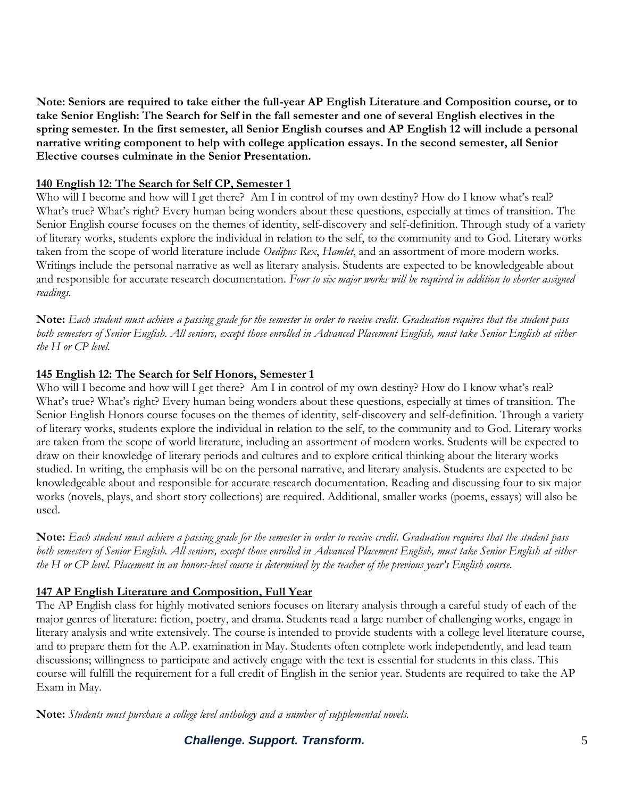**Note: Seniors are required to take either the full-year AP English Literature and Composition course, or to take Senior English: The Search for Self in the fall semester and one of several English electives in the spring semester. In the first semester, all Senior English courses and AP English 12 will include a personal narrative writing component to help with college application essays. In the second semester, all Senior Elective courses culminate in the Senior Presentation.**

#### **140 English 12: The Search for Self CP, Semester 1**

Who will I become and how will I get there? Am I in control of my own destiny? How do I know what's real? What's true? What's right? Every human being wonders about these questions, especially at times of transition. The Senior English course focuses on the themes of identity, self-discovery and self-definition. Through study of a variety of literary works, students explore the individual in relation to the self, to the community and to God. Literary works taken from the scope of world literature include *Oedipus Rex*, *Hamlet*, and an assortment of more modern works. Writings include the personal narrative as well as literary analysis. Students are expected to be knowledgeable about and responsible for accurate research documentation. *Four to six major works will be required in addition to shorter assigned readings.*

**Note:** *Each student must achieve a passing grade for the semester in order to receive credit. Graduation requires that the student pass both semesters of Senior English. All seniors, except those enrolled in Advanced Placement English, must take Senior English at either the H or CP level.*

#### **145 English 12: The Search for Self Honors, Semester 1**

Who will I become and how will I get there? Am I in control of my own destiny? How do I know what's real? What's true? What's right? Every human being wonders about these questions, especially at times of transition. The Senior English Honors course focuses on the themes of identity, self-discovery and self-definition. Through a variety of literary works, students explore the individual in relation to the self, to the community and to God. Literary works are taken from the scope of world literature, including an assortment of modern works. Students will be expected to draw on their knowledge of literary periods and cultures and to explore critical thinking about the literary works studied. In writing, the emphasis will be on the personal narrative, and literary analysis. Students are expected to be knowledgeable about and responsible for accurate research documentation. Reading and discussing four to six major works (novels, plays, and short story collections) are required. Additional, smaller works (poems, essays) will also be used.

**Note:** *Each student must achieve a passing grade for the semester in order to receive credit. Graduation requires that the student pass both semesters of Senior English. All seniors, except those enrolled in Advanced Placement English, must take Senior English at either the H or CP level. Placement in an honors-level course is determined by the teacher of the previous year's English course.* 

#### **147 AP English Literature and Composition, Full Year**

The AP English class for highly motivated seniors focuses on literary analysis through a careful study of each of the major genres of literature: fiction, poetry, and drama. Students read a large number of challenging works, engage in literary analysis and write extensively. The course is intended to provide students with a college level literature course, and to prepare them for the A.P. examination in May. Students often complete work independently, and lead team discussions; willingness to participate and actively engage with the text is essential for students in this class. This course will fulfill the requirement for a full credit of English in the senior year. Students are required to take the AP Exam in May.

**Note:** *Students must purchase a college level anthology and a number of supplemental novels.* 

*Challenge. Support. Transform.* 5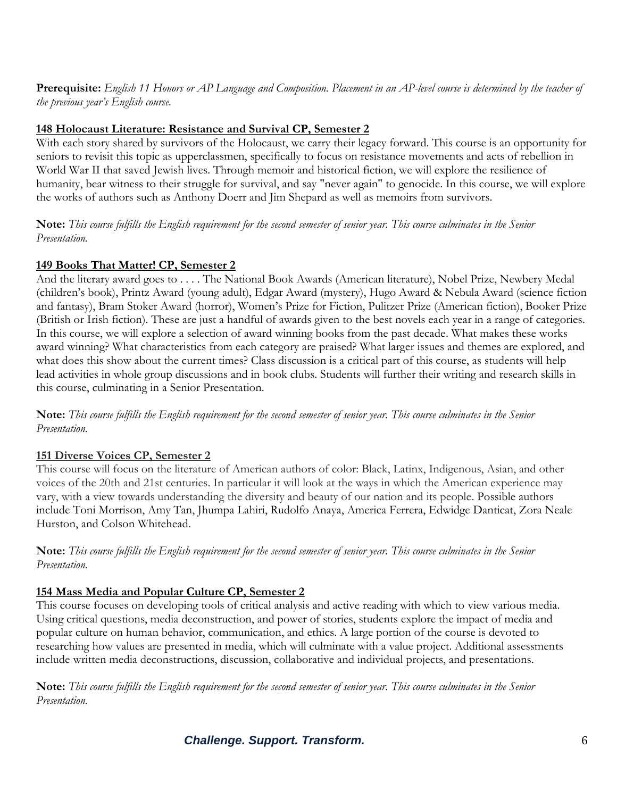**Prerequisite:** *English 11 Honors or AP Language and Composition. Placement in an AP-level course is determined by the teacher of the previous year's English course.*

#### **148 Holocaust Literature: Resistance and Survival CP, Semester 2**

With each story shared by survivors of the Holocaust, we carry their legacy forward. This course is an opportunity for seniors to revisit this topic as upperclassmen, specifically to focus on resistance movements and acts of rebellion in World War II that saved Jewish lives. Through memoir and historical fiction, we will explore the resilience of humanity, bear witness to their struggle for survival, and say "never again" to genocide. In this course, we will explore the works of authors such as Anthony Doerr and Jim Shepard as well as memoirs from survivors.

**Note:** *This course fulfills the English requirement for the second semester of senior year. This course culminates in the Senior Presentation.*

#### **149 Books That Matter! CP, Semester 2**

And the literary award goes to . . . . The National Book Awards (American literature), Nobel Prize, Newbery Medal (children's book), Printz Award (young adult), Edgar Award (mystery), Hugo Award & Nebula Award (science fiction and fantasy), Bram Stoker Award (horror), Women's Prize for Fiction, Pulitzer Prize (American fiction), Booker Prize (British or Irish fiction). These are just a handful of awards given to the best novels each year in a range of categories. In this course, we will explore a selection of award winning books from the past decade. What makes these works award winning? What characteristics from each category are praised? What larger issues and themes are explored, and what does this show about the current times? Class discussion is a critical part of this course, as students will help lead activities in whole group discussions and in book clubs. Students will further their writing and research skills in this course, culminating in a Senior Presentation.

**Note:** *This course fulfills the English requirement for the second semester of senior year. This course culminates in the Senior Presentation.*

#### **151 Diverse Voices CP, Semester 2**

This course will focus on the literature of American authors of color: Black, Latinx, Indigenous, Asian, and other voices of the 20th and 21st centuries. In particular it will look at the ways in which the American experience may vary, with a view towards understanding the diversity and beauty of our nation and its people. Possible authors include Toni Morrison, Amy Tan, Jhumpa Lahiri, Rudolfo Anaya, America Ferrera, Edwidge Danticat, Zora Neale Hurston, and Colson Whitehead.

**Note:** *This course fulfills the English requirement for the second semester of senior year. This course culminates in the Senior Presentation.*

#### **154 Mass Media and Popular Culture CP, Semester 2**

This course focuses on developing tools of critical analysis and active reading with which to view various media. Using critical questions, media deconstruction, and power of stories, students explore the impact of media and popular culture on human behavior, communication, and ethics. A large portion of the course is devoted to researching how values are presented in media, which will culminate with a value project. Additional assessments include written media deconstructions, discussion, collaborative and individual projects, and presentations.

**Note:** *This course fulfills the English requirement for the second semester of senior year. This course culminates in the Senior Presentation.*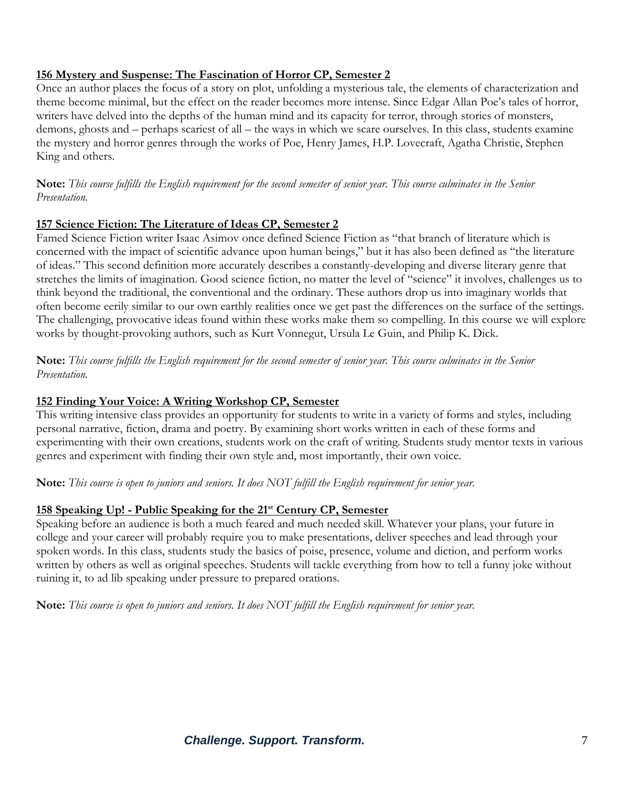#### **156 Mystery and Suspense: The Fascination of Horror CP, Semester 2**

Once an author places the focus of a story on plot, unfolding a mysterious tale, the elements of characterization and theme become minimal, but the effect on the reader becomes more intense. Since Edgar Allan Poe's tales of horror, writers have delved into the depths of the human mind and its capacity for terror, through stories of monsters, demons, ghosts and – perhaps scariest of all – the ways in which we scare ourselves. In this class, students examine the mystery and horror genres through the works of Poe, Henry James, H.P. Lovecraft, Agatha Christie, Stephen King and others.

**Note:** *This course fulfills the English requirement for the second semester of senior year. This course culminates in the Senior Presentation.*

#### **157 Science Fiction: The Literature of Ideas CP, Semester 2**

Famed Science Fiction writer Isaac Asimov once defined Science Fiction as "that branch of literature which is concerned with the impact of scientific advance upon human beings," but it has also been defined as "the literature of ideas." This second definition more accurately describes a constantly-developing and diverse literary genre that stretches the limits of imagination. Good science fiction, no matter the level of "science" it involves, challenges us to think beyond the traditional, the conventional and the ordinary. These authors drop us into imaginary worlds that often become eerily similar to our own earthly realities once we get past the differences on the surface of the settings. The challenging, provocative ideas found within these works make them so compelling. In this course we will explore works by thought-provoking authors, such as Kurt Vonnegut, Ursula Le Guin, and Philip K. Dick.

**Note:** *This course fulfills the English requirement for the second semester of senior year. This course culminates in the Senior Presentation.*

### **152 Finding Your Voice: A Writing Workshop CP, Semester**

This writing intensive class provides an opportunity for students to write in a variety of forms and styles, including personal narrative, fiction, drama and poetry. By examining short works written in each of these forms and experimenting with their own creations, students work on the craft of writing. Students study mentor texts in various genres and experiment with finding their own style and, most importantly, their own voice.

**Note:** *This course is open to juniors and seniors. It does NOT fulfill the English requirement for senior year.*

## **158 Speaking Up! - Public Speaking for the 21st Century CP, Semester**

Speaking before an audience is both a much feared and much needed skill. Whatever your plans, your future in college and your career will probably require you to make presentations, deliver speeches and lead through your spoken words. In this class, students study the basics of poise, presence, volume and diction, and perform works written by others as well as original speeches. Students will tackle everything from how to tell a funny joke without ruining it, to ad lib speaking under pressure to prepared orations.

**Note:** *This course is open to juniors and seniors. It does NOT fulfill the English requirement for senior year.*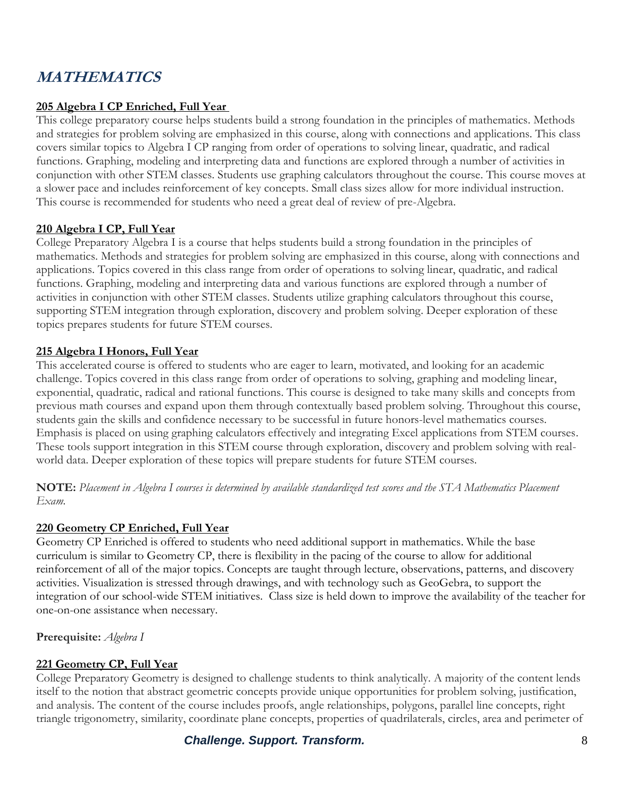## **MATHEMATICS**

## **205 Algebra I CP Enriched, Full Year**

This college preparatory course helps students build a strong foundation in the principles of mathematics. Methods and strategies for problem solving are emphasized in this course, along with connections and applications. This class covers similar topics to Algebra I CP ranging from order of operations to solving linear, quadratic, and radical functions. Graphing, modeling and interpreting data and functions are explored through a number of activities in conjunction with other STEM classes. Students use graphing calculators throughout the course. This course moves at a slower pace and includes reinforcement of key concepts. Small class sizes allow for more individual instruction. This course is recommended for students who need a great deal of review of pre-Algebra.

#### **210 Algebra I CP, Full Year**

College Preparatory Algebra I is a course that helps students build a strong foundation in the principles of mathematics. Methods and strategies for problem solving are emphasized in this course, along with connections and applications. Topics covered in this class range from order of operations to solving linear, quadratic, and radical functions. Graphing, modeling and interpreting data and various functions are explored through a number of activities in conjunction with other STEM classes. Students utilize graphing calculators throughout this course, supporting STEM integration through exploration, discovery and problem solving. Deeper exploration of these topics prepares students for future STEM courses.

#### **215 Algebra I Honors, Full Year**

This accelerated course is offered to students who are eager to learn, motivated, and looking for an academic challenge. Topics covered in this class range from order of operations to solving, graphing and modeling linear, exponential, quadratic, radical and rational functions. This course is designed to take many skills and concepts from previous math courses and expand upon them through contextually based problem solving. Throughout this course, students gain the skills and confidence necessary to be successful in future honors-level mathematics courses. Emphasis is placed on using graphing calculators effectively and integrating Excel applications from STEM courses. These tools support integration in this STEM course through exploration, discovery and problem solving with realworld data. Deeper exploration of these topics will prepare students for future STEM courses.

**NOTE:** *Placement in Algebra I courses is determined by available standardized test scores and the STA Mathematics Placement Exam.*

#### **220 Geometry CP Enriched, Full Year**

Geometry CP Enriched is offered to students who need additional support in mathematics. While the base curriculum is similar to Geometry CP, there is flexibility in the pacing of the course to allow for additional reinforcement of all of the major topics. Concepts are taught through lecture, observations, patterns, and discovery activities. Visualization is stressed through drawings, and with technology such as GeoGebra, to support the integration of our school-wide STEM initiatives. Class size is held down to improve the availability of the teacher for one-on-one assistance when necessary.

**Prerequisite:** *Algebra I*

#### **221 Geometry CP, Full Year**

College Preparatory Geometry is designed to challenge students to think analytically. A majority of the content lends itself to the notion that abstract geometric concepts provide unique opportunities for problem solving, justification, and analysis. The content of the course includes proofs, angle relationships, polygons, parallel line concepts, right triangle trigonometry, similarity, coordinate plane concepts, properties of quadrilaterals, circles, area and perimeter of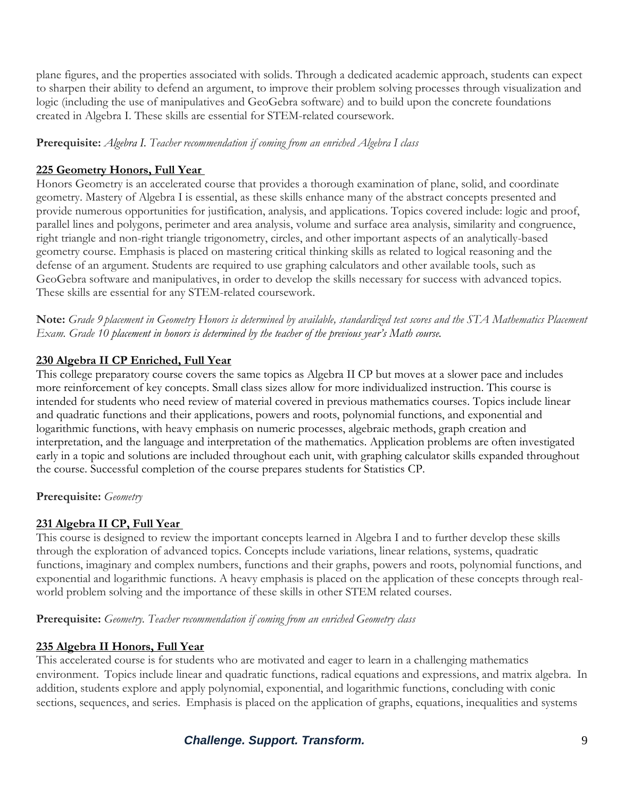plane figures, and the properties associated with solids. Through a dedicated academic approach, students can expect to sharpen their ability to defend an argument, to improve their problem solving processes through visualization and logic (including the use of manipulatives and GeoGebra software) and to build upon the concrete foundations created in Algebra I. These skills are essential for STEM-related coursework.

#### **Prerequisite:** *Algebra I. Teacher recommendation if coming from an enriched Algebra I class*

## **225 Geometry Honors, Full Year**

Honors Geometry is an accelerated course that provides a thorough examination of plane, solid, and coordinate geometry. Mastery of Algebra I is essential, as these skills enhance many of the abstract concepts presented and provide numerous opportunities for justification, analysis, and applications. Topics covered include: logic and proof, parallel lines and polygons, perimeter and area analysis, volume and surface area analysis, similarity and congruence, right triangle and non-right triangle trigonometry, circles, and other important aspects of an analytically-based geometry course. Emphasis is placed on mastering critical thinking skills as related to logical reasoning and the defense of an argument. Students are required to use graphing calculators and other available tools, such as GeoGebra software and manipulatives, in order to develop the skills necessary for success with advanced topics. These skills are essential for any STEM-related coursework.

**Note:** *Grade 9 placement in Geometry Honors is determined by available, standardized test scores and the STA Mathematics Placement Exam. Grade 10 placement in honors is determined by the teacher of the previous year's Math course.*

#### **230 Algebra II CP Enriched, Full Year**

This college preparatory course covers the same topics as Algebra II CP but moves at a slower pace and includes more reinforcement of key concepts. Small class sizes allow for more individualized instruction. This course is intended for students who need review of material covered in previous mathematics courses. Topics include linear and quadratic functions and their applications, powers and roots, polynomial functions, and exponential and logarithmic functions, with heavy emphasis on numeric processes, algebraic methods, graph creation and interpretation, and the language and interpretation of the mathematics. Application problems are often investigated early in a topic and solutions are included throughout each unit, with graphing calculator skills expanded throughout the course. Successful completion of the course prepares students for Statistics CP.

#### **Prerequisite:** *Geometry*

#### **231 Algebra II CP, Full Year**

This course is designed to review the important concepts learned in Algebra I and to further develop these skills through the exploration of advanced topics. Concepts include variations, linear relations, systems, quadratic functions, imaginary and complex numbers, functions and their graphs, powers and roots, polynomial functions, and exponential and logarithmic functions. A heavy emphasis is placed on the application of these concepts through realworld problem solving and the importance of these skills in other STEM related courses.

#### **Prerequisite:** *Geometry. Teacher recommendation if coming from an enriched Geometry class*

#### **235 Algebra II Honors, Full Year**

This accelerated course is for students who are motivated and eager to learn in a challenging mathematics environment. Topics include linear and quadratic functions, radical equations and expressions, and matrix algebra. In addition, students explore and apply polynomial, exponential, and logarithmic functions, concluding with conic sections, sequences, and series. Emphasis is placed on the application of graphs, equations, inequalities and systems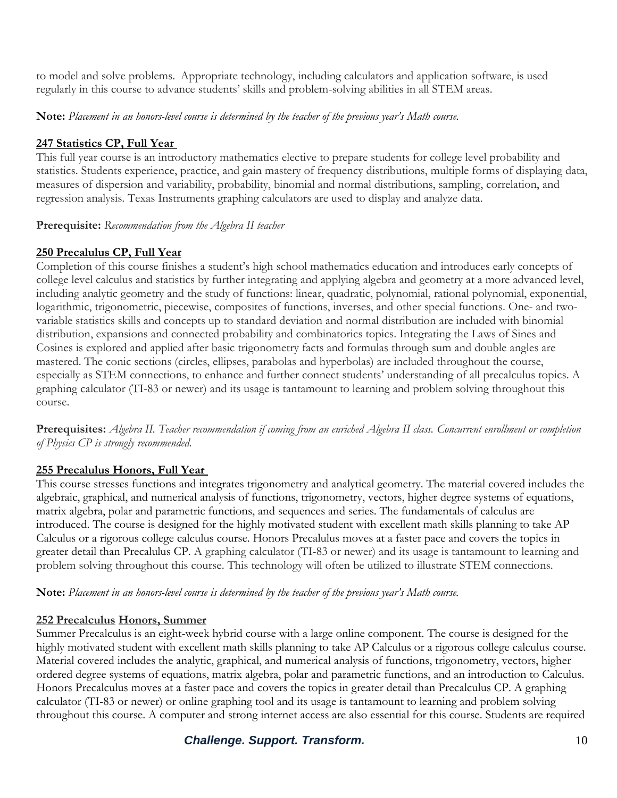to model and solve problems. Appropriate technology, including calculators and application software, is used regularly in this course to advance students' skills and problem-solving abilities in all STEM areas.

**Note:** *Placement in an honors-level course is determined by the teacher of the previous year's Math course.*

### **247 Statistics CP, Full Year**

This full year course is an introductory mathematics elective to prepare students for college level probability and statistics. Students experience, practice, and gain mastery of frequency distributions, multiple forms of displaying data, measures of dispersion and variability, probability, binomial and normal distributions, sampling, correlation, and regression analysis. Texas Instruments graphing calculators are used to display and analyze data.

**Prerequisite:** *Recommendation from the Algebra II teacher*

#### **250 Precalulus CP, Full Year**

Completion of this course finishes a student's high school mathematics education and introduces early concepts of college level calculus and statistics by further integrating and applying algebra and geometry at a more advanced level, including analytic geometry and the study of functions: linear, quadratic, polynomial, rational polynomial, exponential, logarithmic, trigonometric, piecewise, composites of functions, inverses, and other special functions. One- and twovariable statistics skills and concepts up to standard deviation and normal distribution are included with binomial distribution, expansions and connected probability and combinatorics topics. Integrating the Laws of Sines and Cosines is explored and applied after basic trigonometry facts and formulas through sum and double angles are mastered. The conic sections (circles, ellipses, parabolas and hyperbolas) are included throughout the course, especially as STEM connections, to enhance and further connect students' understanding of all precalculus topics. A graphing calculator (TI-83 or newer) and its usage is tantamount to learning and problem solving throughout this course.

**Prerequisites:** *Algebra II. Teacher recommendation if coming from an enriched Algebra II class. Concurrent enrollment or completion of Physics CP is strongly recommended.*

#### **255 Precalulus Honors, Full Year**

This course stresses functions and integrates trigonometry and analytical geometry. The material covered includes the algebraic, graphical, and numerical analysis of functions, trigonometry, vectors, higher degree systems of equations, matrix algebra, polar and parametric functions, and sequences and series. The fundamentals of calculus are introduced. The course is designed for the highly motivated student with excellent math skills planning to take AP Calculus or a rigorous college calculus course. Honors Precalulus moves at a faster pace and covers the topics in greater detail than Precalulus CP. A graphing calculator (TI-83 or newer) and its usage is tantamount to learning and problem solving throughout this course. This technology will often be utilized to illustrate STEM connections.

**Note:** *Placement in an honors-level course is determined by the teacher of the previous year's Math course.*

#### **252 Precalculus Honors, Summer**

Summer Precalculus is an eight-week hybrid course with a large online component. The course is designed for the highly motivated student with excellent math skills planning to take AP Calculus or a rigorous college calculus course. Material covered includes the analytic, graphical, and numerical analysis of functions, trigonometry, vectors, higher ordered degree systems of equations, matrix algebra, polar and parametric functions, and an introduction to Calculus. Honors Precalculus moves at a faster pace and covers the topics in greater detail than Precalculus CP. A graphing calculator (TI-83 or newer) or online graphing tool and its usage is tantamount to learning and problem solving throughout this course. A computer and strong internet access are also essential for this course. Students are required

## **Challenge. Support. Transform.** The contract of the state of the state of the state of the state of the state of the state of the state of the state of the state of the state of the state of the state of the state of the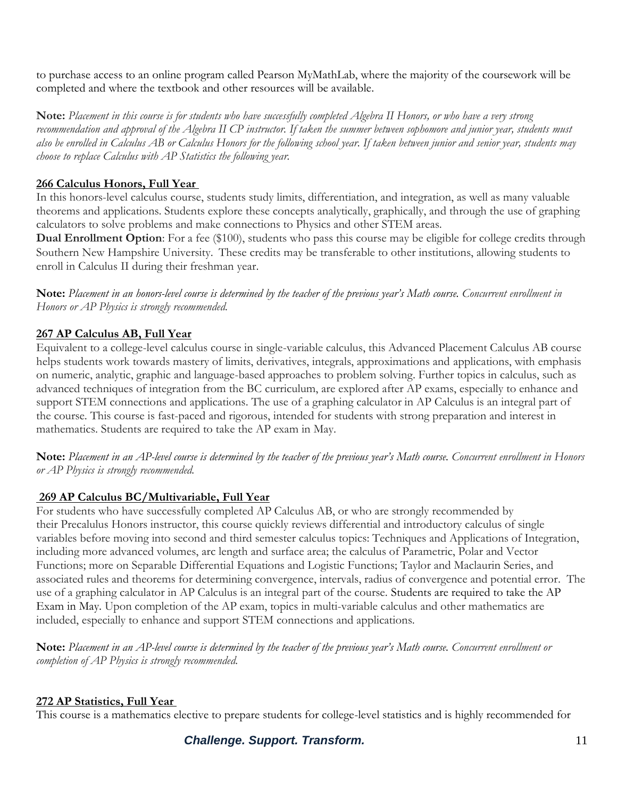to purchase access to an online program called Pearson MyMathLab, where the majority of the coursework will be completed and where the textbook and other resources will be available.

**Note:** *Placement in this course is for students who have successfully completed Algebra II Honors, or who have a very strong recommendation and approval of the Algebra II CP instructor. If taken the summer between sophomore and junior year, students must also be enrolled in Calculus AB or Calculus Honors for the following school year. If taken between junior and senior year, students may choose to replace Calculus with AP Statistics the following year.*

## **266 Calculus Honors, Full Year**

In this honors-level calculus course, students study limits, differentiation, and integration, as well as many valuable theorems and applications. Students explore these concepts analytically, graphically, and through the use of graphing calculators to solve problems and make connections to Physics and other STEM areas.

**Dual Enrollment Option**: For a fee (\$100), students who pass this course may be eligible for college credits through Southern New Hampshire University. These credits may be transferable to other institutions, allowing students to enroll in Calculus II during their freshman year.

**Note:** *Placement in an honors-level course is determined by the teacher of the previous year's Math course. Concurrent enrollment in Honors or AP Physics is strongly recommended.*

## **267 AP Calculus AB, Full Year**

Equivalent to a college-level calculus course in single-variable calculus, this Advanced Placement Calculus AB course helps students work towards mastery of limits, derivatives, integrals, approximations and applications, with emphasis on numeric, analytic, graphic and language-based approaches to problem solving. Further topics in calculus, such as advanced techniques of integration from the BC curriculum, are explored after AP exams, especially to enhance and support STEM connections and applications. The use of a graphing calculator in AP Calculus is an integral part of the course. This course is fast-paced and rigorous, intended for students with strong preparation and interest in mathematics. Students are required to take the AP exam in May.

**Note:** *Placement in an AP-level course is determined by the teacher of the previous year's Math course. Concurrent enrollment in Honors or AP Physics is strongly recommended.*

## **269 AP Calculus BC/Multivariable, Full Year**

For students who have successfully completed AP Calculus AB, or who are strongly recommended by their Precalulus Honors instructor, this course quickly reviews differential and introductory calculus of single variables before moving into second and third semester calculus topics: Techniques and Applications of Integration, including more advanced volumes, arc length and surface area; the calculus of Parametric, Polar and Vector Functions; more on Separable Differential Equations and Logistic Functions; Taylor and Maclaurin Series, and associated rules and theorems for determining convergence, intervals, radius of convergence and potential error. The use of a graphing calculator in AP Calculus is an integral part of the course. Students are required to take the AP Exam in May. Upon completion of the AP exam, topics in multi-variable calculus and other mathematics are included, especially to enhance and support STEM connections and applications.

**Note:** *Placement in an AP-level course is determined by the teacher of the previous year's Math course. Concurrent enrollment or completion of AP Physics is strongly recommended.*

#### **272 AP Statistics, Full Year**

This course is a mathematics elective to prepare students for college-level statistics and is highly recommended for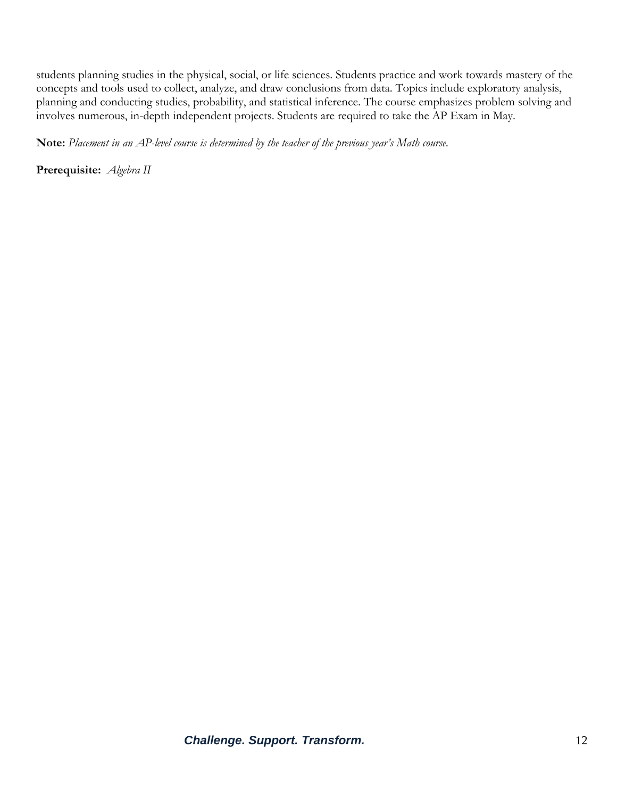students planning studies in the physical, social, or life sciences. Students practice and work towards mastery of the concepts and tools used to collect, analyze, and draw conclusions from data. Topics include exploratory analysis, planning and conducting studies, probability, and statistical inference. The course emphasizes problem solving and involves numerous, in-depth independent projects. Students are required to take the AP Exam in May.

**Note:** *Placement in an AP-level course is determined by the teacher of the previous year's Math course.*

**Prerequisite:** *Algebra II*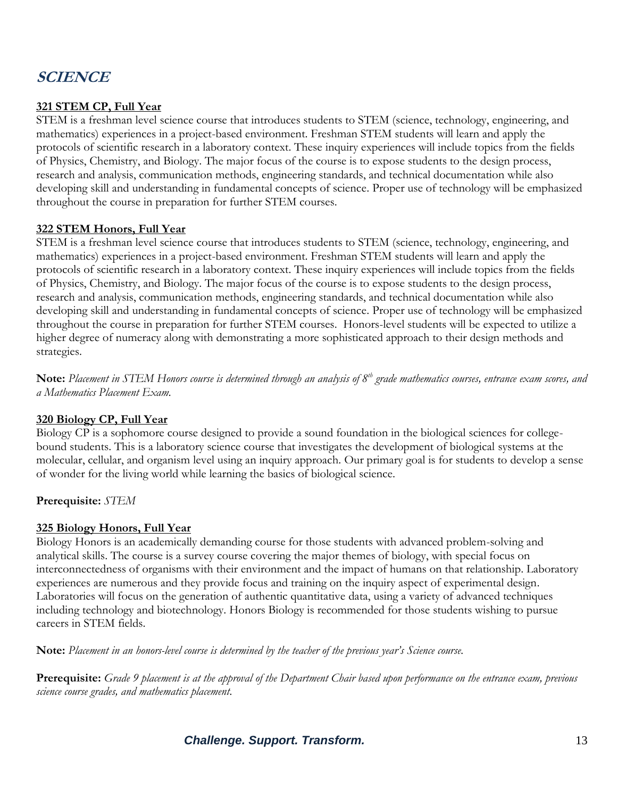## **SCIENCE**

### **321 STEM CP, Full Year**

STEM is a freshman level science course that introduces students to STEM (science, technology, engineering, and mathematics) experiences in a project-based environment. Freshman STEM students will learn and apply the protocols of scientific research in a laboratory context. These inquiry experiences will include topics from the fields of Physics, Chemistry, and Biology. The major focus of the course is to expose students to the design process, research and analysis, communication methods, engineering standards, and technical documentation while also developing skill and understanding in fundamental concepts of science. Proper use of technology will be emphasized throughout the course in preparation for further STEM courses.

#### **322 STEM Honors, Full Year**

STEM is a freshman level science course that introduces students to STEM (science, technology, engineering, and mathematics) experiences in a project-based environment. Freshman STEM students will learn and apply the protocols of scientific research in a laboratory context. These inquiry experiences will include topics from the fields of Physics, Chemistry, and Biology. The major focus of the course is to expose students to the design process, research and analysis, communication methods, engineering standards, and technical documentation while also developing skill and understanding in fundamental concepts of science. Proper use of technology will be emphasized throughout the course in preparation for further STEM courses. Honors-level students will be expected to utilize a higher degree of numeracy along with demonstrating a more sophisticated approach to their design methods and strategies.

**Note:** *Placement in STEM Honors course is determined through an analysis of 8th grade mathematics courses, entrance exam scores, and a Mathematics Placement Exam.*

#### **320 Biology CP, Full Year**

Biology CP is a sophomore course designed to provide a sound foundation in the biological sciences for collegebound students. This is a laboratory science course that investigates the development of biological systems at the molecular, cellular, and organism level using an inquiry approach. Our primary goal is for students to develop a sense of wonder for the living world while learning the basics of biological science.

**Prerequisite:** *STEM*

#### **325 Biology Honors, Full Year**

Biology Honors is an academically demanding course for those students with advanced problem-solving and analytical skills. The course is a survey course covering the major themes of biology, with special focus on interconnectedness of organisms with their environment and the impact of humans on that relationship. Laboratory experiences are numerous and they provide focus and training on the inquiry aspect of experimental design. Laboratories will focus on the generation of authentic quantitative data, using a variety of advanced techniques including technology and biotechnology. Honors Biology is recommended for those students wishing to pursue careers in STEM fields.

**Note:** *Placement in an honors-level course is determined by the teacher of the previous year's Science course.*

**Prerequisite:** *Grade 9 placement is at the approval of the Department Chair based upon performance on the entrance exam, previous science course grades, and mathematics placement.*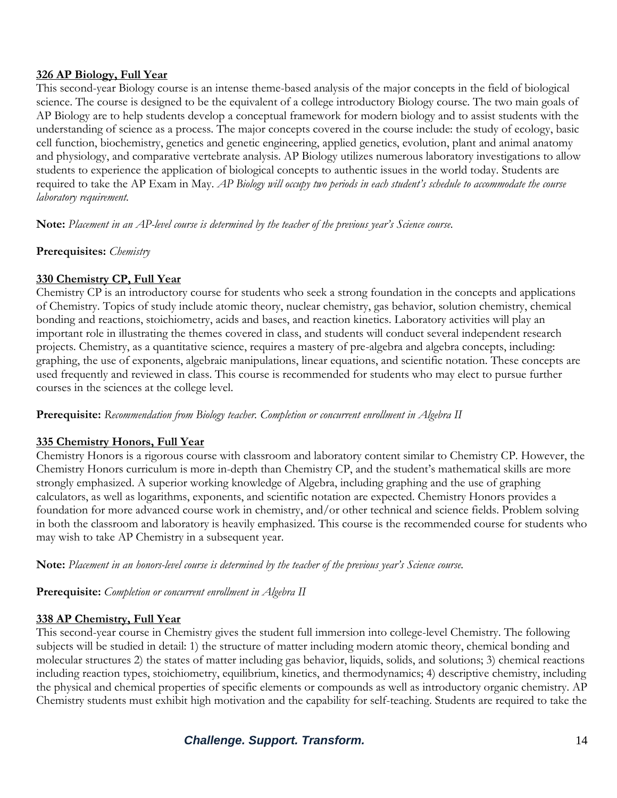#### **326 AP Biology, Full Year**

This second-year Biology course is an intense theme-based analysis of the major concepts in the field of biological science. The course is designed to be the equivalent of a college introductory Biology course. The two main goals of AP Biology are to help students develop a conceptual framework for modern biology and to assist students with the understanding of science as a process. The major concepts covered in the course include: the study of ecology, basic cell function, biochemistry, genetics and genetic engineering, applied genetics, evolution, plant and animal anatomy and physiology, and comparative vertebrate analysis. AP Biology utilizes numerous laboratory investigations to allow students to experience the application of biological concepts to authentic issues in the world today. Students are required to take the AP Exam in May. *AP Biology will occupy two periods in each student's schedule to accommodate the course laboratory requirement.*

**Note:** *Placement in an AP-level course is determined by the teacher of the previous year's Science course.*

**Prerequisites:** *Chemistry*

#### **330 Chemistry CP, Full Year**

Chemistry CP is an introductory course for students who seek a strong foundation in the concepts and applications of Chemistry. Topics of study include atomic theory, nuclear chemistry, gas behavior, solution chemistry, chemical bonding and reactions, stoichiometry, acids and bases, and reaction kinetics. Laboratory activities will play an important role in illustrating the themes covered in class, and students will conduct several independent research projects. Chemistry, as a quantitative science, requires a mastery of pre-algebra and algebra concepts, including: graphing, the use of exponents, algebraic manipulations, linear equations, and scientific notation. These concepts are used frequently and reviewed in class. This course is recommended for students who may elect to pursue further courses in the sciences at the college level.

**Prerequisite:** *Recommendation from Biology teacher. Completion or concurrent enrollment in Algebra II*

#### **335 Chemistry Honors, Full Year**

Chemistry Honors is a rigorous course with classroom and laboratory content similar to Chemistry CP. However, the Chemistry Honors curriculum is more in-depth than Chemistry CP, and the student's mathematical skills are more strongly emphasized. A superior working knowledge of Algebra, including graphing and the use of graphing calculators, as well as logarithms, exponents, and scientific notation are expected. Chemistry Honors provides a foundation for more advanced course work in chemistry, and/or other technical and science fields. Problem solving in both the classroom and laboratory is heavily emphasized. This course is the recommended course for students who may wish to take AP Chemistry in a subsequent year.

**Note:** *Placement in an honors-level course is determined by the teacher of the previous year's Science course.*

**Prerequisite:** *Completion or concurrent enrollment in Algebra II*

#### **338 AP Chemistry, Full Year**

This second-year course in Chemistry gives the student full immersion into college-level Chemistry. The following subjects will be studied in detail: 1) the structure of matter including modern atomic theory, chemical bonding and molecular structures 2) the states of matter including gas behavior, liquids, solids, and solutions; 3) chemical reactions including reaction types, stoichiometry, equilibrium, kinetics, and thermodynamics; 4) descriptive chemistry, including the physical and chemical properties of specific elements or compounds as well as introductory organic chemistry. AP Chemistry students must exhibit high motivation and the capability for self-teaching. Students are required to take the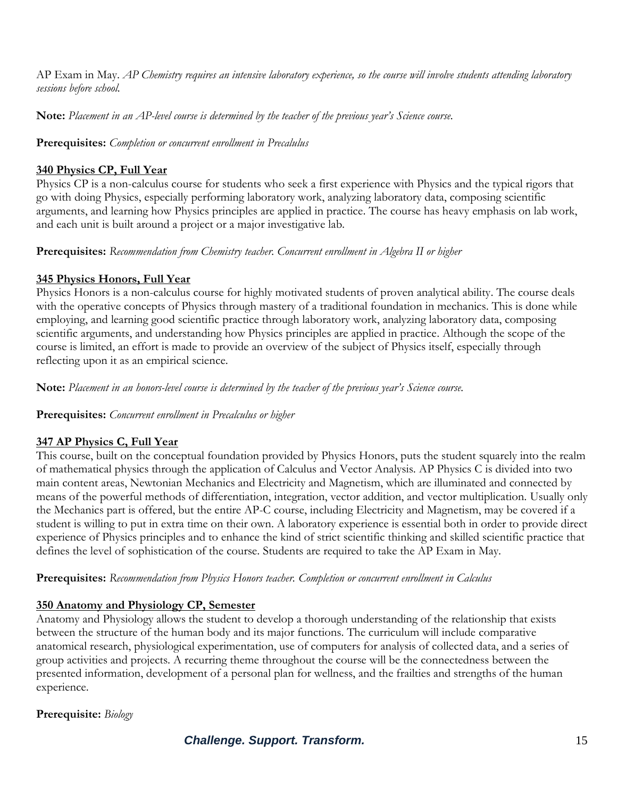AP Exam in May. *AP Chemistry requires an intensive laboratory experience, so the course will involve students attending laboratory sessions before school.*

**Note:** *Placement in an AP-level course is determined by the teacher of the previous year's Science course.*

**Prerequisites:** *Completion or concurrent enrollment in Precalulus*

#### **340 Physics CP, Full Year**

Physics CP is a non-calculus course for students who seek a first experience with Physics and the typical rigors that go with doing Physics, especially performing laboratory work, analyzing laboratory data, composing scientific arguments, and learning how Physics principles are applied in practice. The course has heavy emphasis on lab work, and each unit is built around a project or a major investigative lab.

#### **Prerequisites:** *Recommendation from Chemistry teacher. Concurrent enrollment in Algebra II or higher*

## **345 Physics Honors, Full Year**

Physics Honors is a non-calculus course for highly motivated students of proven analytical ability. The course deals with the operative concepts of Physics through mastery of a traditional foundation in mechanics. This is done while employing, and learning good scientific practice through laboratory work, analyzing laboratory data, composing scientific arguments, and understanding how Physics principles are applied in practice. Although the scope of the course is limited, an effort is made to provide an overview of the subject of Physics itself, especially through reflecting upon it as an empirical science.

**Note:** *Placement in an honors-level course is determined by the teacher of the previous year's Science course.*

#### **Prerequisites:** *Concurrent enrollment in Precalculus or higher*

## **347 AP Physics C, Full Year**

This course, built on the conceptual foundation provided by Physics Honors, puts the student squarely into the realm of mathematical physics through the application of Calculus and Vector Analysis. AP Physics C is divided into two main content areas, Newtonian Mechanics and Electricity and Magnetism, which are illuminated and connected by means of the powerful methods of differentiation, integration, vector addition, and vector multiplication. Usually only the Mechanics part is offered, but the entire AP-C course, including Electricity and Magnetism, may be covered if a student is willing to put in extra time on their own. A laboratory experience is essential both in order to provide direct experience of Physics principles and to enhance the kind of strict scientific thinking and skilled scientific practice that defines the level of sophistication of the course. Students are required to take the AP Exam in May.

**Prerequisites:** *Recommendation from Physics Honors teacher. Completion or concurrent enrollment in Calculus*

## **350 Anatomy and Physiology CP, Semester**

Anatomy and Physiology allows the student to develop a thorough understanding of the relationship that exists between the structure of the human body and its major functions. The curriculum will include comparative anatomical research, physiological experimentation, use of computers for analysis of collected data, and a series of group activities and projects. A recurring theme throughout the course will be the connectedness between the presented information, development of a personal plan for wellness, and the frailties and strengths of the human experience.

#### **Prerequisite:** *Biology*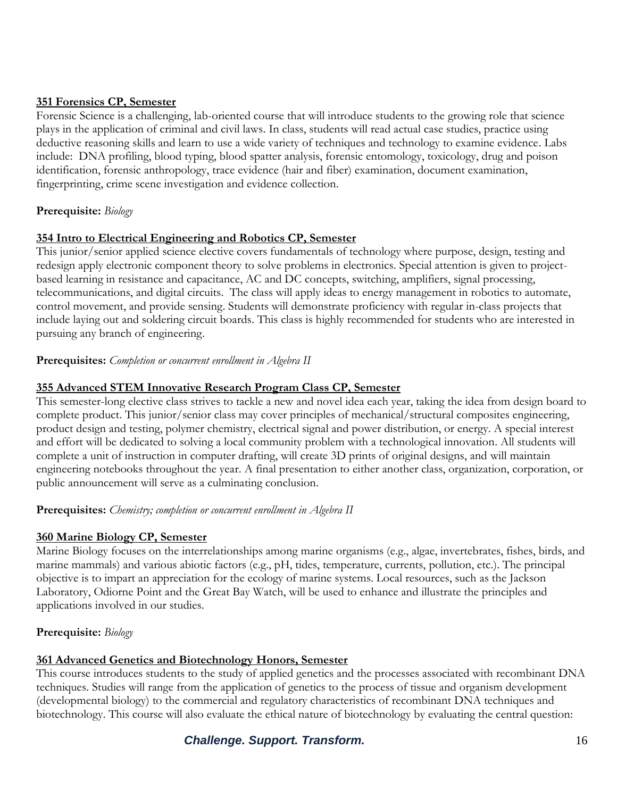#### **351 Forensics CP, Semester**

Forensic Science is a challenging, lab-oriented course that will introduce students to the growing role that science plays in the application of criminal and civil laws. In class, students will read actual case studies, practice using deductive reasoning skills and learn to use a wide variety of techniques and technology to examine evidence. Labs include: DNA profiling, blood typing, blood spatter analysis, forensic entomology, toxicology, drug and poison identification, forensic anthropology, trace evidence (hair and fiber) examination, document examination, fingerprinting, crime scene investigation and evidence collection.

#### **Prerequisite:** *Biology*

#### **354 Intro to Electrical Engineering and Robotics CP, Semester**

This junior/senior applied science elective covers fundamentals of technology where purpose, design, testing and redesign apply electronic component theory to solve problems in electronics. Special attention is given to projectbased learning in resistance and capacitance, AC and DC concepts, switching, amplifiers, signal processing, telecommunications, and digital circuits. The class will apply ideas to energy management in robotics to automate, control movement, and provide sensing. Students will demonstrate proficiency with regular in-class projects that include laying out and soldering circuit boards. This class is highly recommended for students who are interested in pursuing any branch of engineering.

#### **Prerequisites:** *Completion or concurrent enrollment in Algebra II*

#### **355 Advanced STEM Innovative Research Program Class CP, Semester**

This semester-long elective class strives to tackle a new and novel idea each year, taking the idea from design board to complete product. This junior/senior class may cover principles of mechanical/structural composites engineering, product design and testing, polymer chemistry, electrical signal and power distribution, or energy. A special interest and effort will be dedicated to solving a local community problem with a technological innovation. All students will complete a unit of instruction in computer drafting, will create 3D prints of original designs, and will maintain engineering notebooks throughout the year. A final presentation to either another class, organization, corporation, or public announcement will serve as a culminating conclusion.

#### **Prerequisites:** *Chemistry; completion or concurrent enrollment in Algebra II*

#### **360 Marine Biology CP, Semester**

Marine Biology focuses on the interrelationships among marine organisms (e.g., algae, invertebrates, fishes, birds, and marine mammals) and various abiotic factors (e.g., pH, tides, temperature, currents, pollution, etc.). The principal objective is to impart an appreciation for the ecology of marine systems. Local resources, such as the Jackson Laboratory, Odiorne Point and the Great Bay Watch, will be used to enhance and illustrate the principles and applications involved in our studies.

#### **Prerequisite:** *Biology*

#### **361 Advanced Genetics and Biotechnology Honors, Semester**

This course introduces students to the study of applied genetics and the processes associated with recombinant DNA techniques. Studies will range from the application of genetics to the process of tissue and organism development (developmental biology) to the commercial and regulatory characteristics of recombinant DNA techniques and biotechnology. This course will also evaluate the ethical nature of biotechnology by evaluating the central question:

## **Challenge. Support. Transform.** The contract of the state of the state of the state of the state of the state of the state of the state of the state of the state of the state of the state of the state of the state of the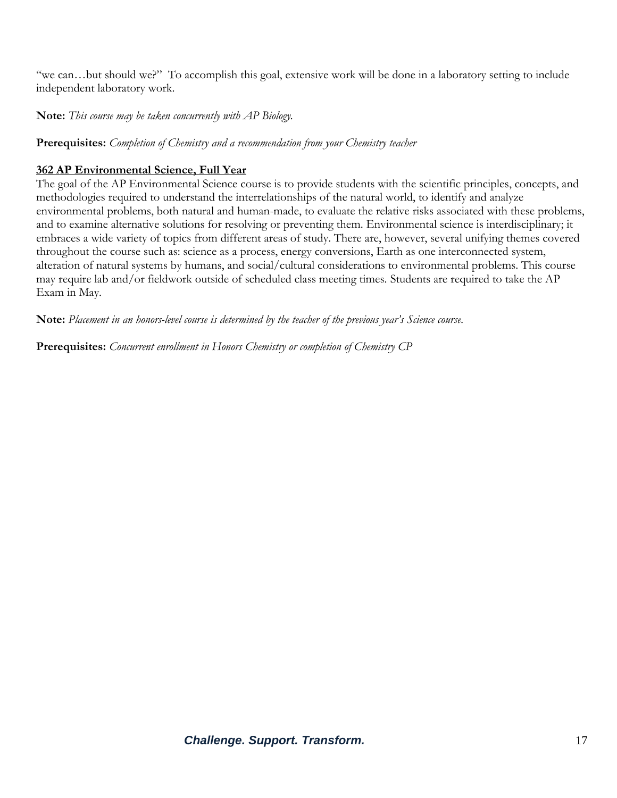"we can…but should we?" To accomplish this goal, extensive work will be done in a laboratory setting to include independent laboratory work.

**Note:** *This course may be taken concurrently with AP Biology.*

**Prerequisites:** *Completion of Chemistry and a recommendation from your Chemistry teacher*

## **362 AP Environmental Science, Full Year**

The goal of the AP Environmental Science course is to provide students with the scientific principles, concepts, and methodologies required to understand the interrelationships of the natural world, to identify and analyze environmental problems, both natural and human-made, to evaluate the relative risks associated with these problems, and to examine alternative solutions for resolving or preventing them. Environmental science is interdisciplinary; it embraces a wide variety of topics from different areas of study. There are, however, several unifying themes covered throughout the course such as: science as a process, energy conversions, Earth as one interconnected system, alteration of natural systems by humans, and social/cultural considerations to environmental problems. This course may require lab and/or fieldwork outside of scheduled class meeting times. Students are required to take the AP Exam in May.

**Note:** *Placement in an honors-level course is determined by the teacher of the previous year's Science course.*

**Prerequisites:** *Concurrent enrollment in Honors Chemistry or completion of Chemistry CP*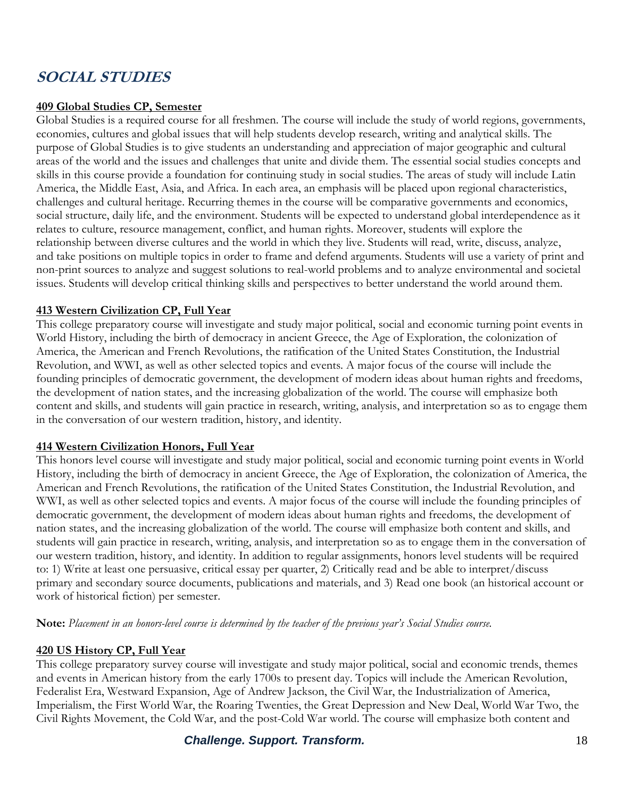## **SOCIAL STUDIES**

#### **409 Global Studies CP, Semester**

Global Studies is a required course for all freshmen. The course will include the study of world regions, governments, economies, cultures and global issues that will help students develop research, writing and analytical skills. The purpose of Global Studies is to give students an understanding and appreciation of major geographic and cultural areas of the world and the issues and challenges that unite and divide them. The essential social studies concepts and skills in this course provide a foundation for continuing study in social studies. The areas of study will include Latin America, the Middle East, Asia, and Africa. In each area, an emphasis will be placed upon regional characteristics, challenges and cultural heritage. Recurring themes in the course will be comparative governments and economics, social structure, daily life, and the environment. Students will be expected to understand global interdependence as it relates to culture, resource management, conflict, and human rights. Moreover, students will explore the relationship between diverse cultures and the world in which they live. Students will read, write, discuss, analyze, and take positions on multiple topics in order to frame and defend arguments. Students will use a variety of print and non-print sources to analyze and suggest solutions to real-world problems and to analyze environmental and societal issues. Students will develop critical thinking skills and perspectives to better understand the world around them.

#### **413 Western Civilization CP, Full Year**

This college preparatory course will investigate and study major political, social and economic turning point events in World History, including the birth of democracy in ancient Greece, the Age of Exploration, the colonization of America, the American and French Revolutions, the ratification of the United States Constitution, the Industrial Revolution, and WWI, as well as other selected topics and events. A major focus of the course will include the founding principles of democratic government, the development of modern ideas about human rights and freedoms, the development of nation states, and the increasing globalization of the world. The course will emphasize both content and skills, and students will gain practice in research, writing, analysis, and interpretation so as to engage them in the conversation of our western tradition, history, and identity.

#### **414 Western Civilization Honors, Full Year**

This honors level course will investigate and study major political, social and economic turning point events in World History, including the birth of democracy in ancient Greece, the Age of Exploration, the colonization of America, the American and French Revolutions, the ratification of the United States Constitution, the Industrial Revolution, and WWI, as well as other selected topics and events. A major focus of the course will include the founding principles of democratic government, the development of modern ideas about human rights and freedoms, the development of nation states, and the increasing globalization of the world. The course will emphasize both content and skills, and students will gain practice in research, writing, analysis, and interpretation so as to engage them in the conversation of our western tradition, history, and identity. In addition to regular assignments, honors level students will be required to: 1) Write at least one persuasive, critical essay per quarter, 2) Critically read and be able to interpret/discuss primary and secondary source documents, publications and materials, and 3) Read one book (an historical account or work of historical fiction) per semester.

**Note:** *Placement in an honors-level course is determined by the teacher of the previous year's Social Studies course.*

#### **420 US History CP, Full Year**

This college preparatory survey course will investigate and study major political, social and economic trends, themes and events in American history from the early 1700s to present day. Topics will include the American Revolution, Federalist Era, Westward Expansion, Age of Andrew Jackson, the Civil War, the Industrialization of America, Imperialism, the First World War, the Roaring Twenties, the Great Depression and New Deal, World War Two, the Civil Rights Movement, the Cold War, and the post-Cold War world. The course will emphasize both content and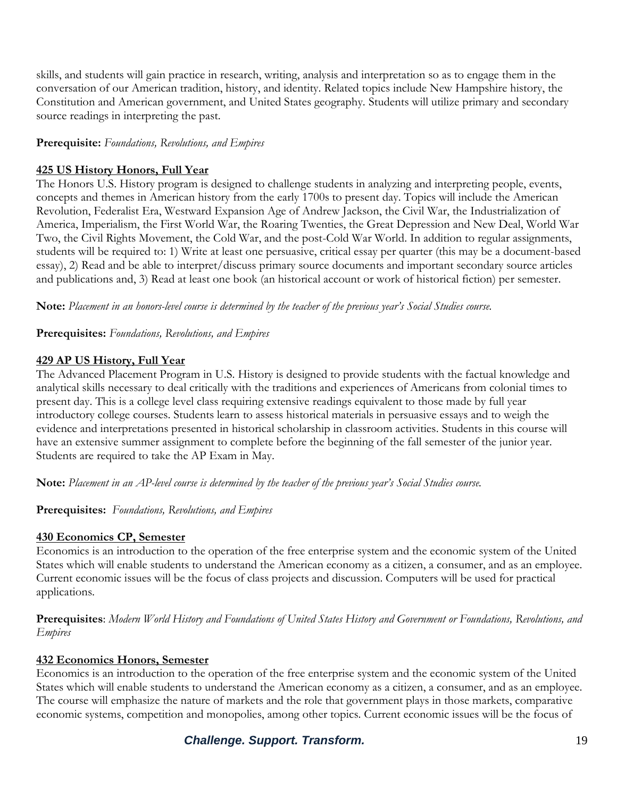skills, and students will gain practice in research, writing, analysis and interpretation so as to engage them in the conversation of our American tradition, history, and identity. Related topics include New Hampshire history, the Constitution and American government, and United States geography. Students will utilize primary and secondary source readings in interpreting the past.

#### **Prerequisite:** *Foundations, Revolutions, and Empires*

#### **425 US History Honors, Full Year**

The Honors U.S. History program is designed to challenge students in analyzing and interpreting people, events, concepts and themes in American history from the early 1700s to present day. Topics will include the American Revolution, Federalist Era, Westward Expansion Age of Andrew Jackson, the Civil War, the Industrialization of America, Imperialism, the First World War, the Roaring Twenties, the Great Depression and New Deal, World War Two, the Civil Rights Movement, the Cold War, and the post-Cold War World. In addition to regular assignments, students will be required to: 1) Write at least one persuasive, critical essay per quarter (this may be a document-based essay), 2) Read and be able to interpret/discuss primary source documents and important secondary source articles and publications and, 3) Read at least one book (an historical account or work of historical fiction) per semester.

**Note:** *Placement in an honors-level course is determined by the teacher of the previous year's Social Studies course.*

**Prerequisites:** *Foundations, Revolutions, and Empires*

#### **429 AP US History, Full Year**

The Advanced Placement Program in U.S. History is designed to provide students with the factual knowledge and analytical skills necessary to deal critically with the traditions and experiences of Americans from colonial times to present day. This is a college level class requiring extensive readings equivalent to those made by full year introductory college courses. Students learn to assess historical materials in persuasive essays and to weigh the evidence and interpretations presented in historical scholarship in classroom activities. Students in this course will have an extensive summer assignment to complete before the beginning of the fall semester of the junior year. Students are required to take the AP Exam in May.

**Note:** *Placement in an AP-level course is determined by the teacher of the previous year's Social Studies course.*

**Prerequisites:** *Foundations, Revolutions, and Empires*

#### **430 Economics CP, Semester**

Economics is an introduction to the operation of the free enterprise system and the economic system of the United States which will enable students to understand the American economy as a citizen, a consumer, and as an employee. Current economic issues will be the focus of class projects and discussion. Computers will be used for practical applications.

**Prerequisites**: *Modern World History and Foundations of United States History and Government or Foundations, Revolutions, and Empires*

#### **432 Economics Honors, Semester**

Economics is an introduction to the operation of the free enterprise system and the economic system of the United States which will enable students to understand the American economy as a citizen, a consumer, and as an employee. The course will emphasize the nature of markets and the role that government plays in those markets, comparative economic systems, competition and monopolies, among other topics. Current economic issues will be the focus of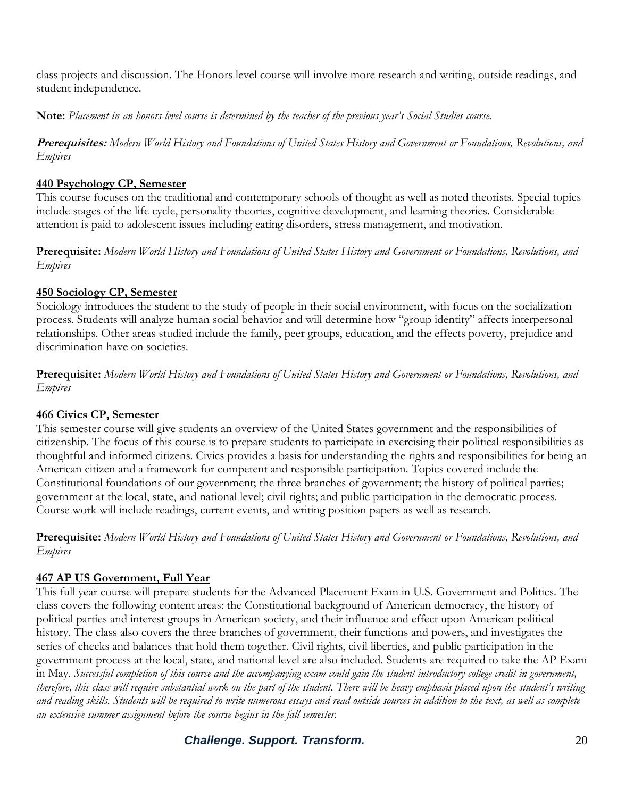class projects and discussion. The Honors level course will involve more research and writing, outside readings, and student independence.

**Note:** *Placement in an honors-level course is determined by the teacher of the previous year's Social Studies course.*

**Prerequisites:** *Modern World History and Foundations of United States History and Government or Foundations, Revolutions, and Empires*

#### **440 Psychology CP, Semester**

This course focuses on the traditional and contemporary schools of thought as well as noted theorists. Special topics include stages of the life cycle, personality theories, cognitive development, and learning theories. Considerable attention is paid to adolescent issues including eating disorders, stress management, and motivation.

**Prerequisite:** *Modern World History and Foundations of United States History and Government or Foundations, Revolutions, and Empires*

## **450 Sociology CP, Semester**

Sociology introduces the student to the study of people in their social environment, with focus on the socialization process. Students will analyze human social behavior and will determine how "group identity" affects interpersonal relationships. Other areas studied include the family, peer groups, education, and the effects poverty, prejudice and discrimination have on societies.

**Prerequisite:** *Modern World History and Foundations of United States History and Government or Foundations, Revolutions, and Empires*

#### **466 Civics CP, Semester**

This semester course will give students an overview of the United States government and the responsibilities of citizenship. The focus of this course is to prepare students to participate in exercising their political responsibilities as thoughtful and informed citizens. Civics provides a basis for understanding the rights and responsibilities for being an American citizen and a framework for competent and responsible participation. Topics covered include the Constitutional foundations of our government; the three branches of government; the history of political parties; government at the local, state, and national level; civil rights; and public participation in the democratic process. Course work will include readings, current events, and writing position papers as well as research.

**Prerequisite:** *Modern World History and Foundations of United States History and Government or Foundations, Revolutions, and Empires*

## **467 AP US Government, Full Year**

This full year course will prepare students for the Advanced Placement Exam in U.S. Government and Politics. The class covers the following content areas: the Constitutional background of American democracy, the history of political parties and interest groups in American society, and their influence and effect upon American political history. The class also covers the three branches of government, their functions and powers, and investigates the series of checks and balances that hold them together. Civil rights, civil liberties, and public participation in the government process at the local, state, and national level are also included. Students are required to take the AP Exam in May. *Successful completion of this course and the accompanying exam could gain the student introductory college credit in government, therefore, this class will require substantial work on the part of the student. There will be heavy emphasis placed upon the student's writing and reading skills. Students will be required to write numerous essays and read outside sources in addition to the text, as well as complete an extensive summer assignment before the course begins in the fall semester.* 

## **Challenge. Support. Transform.** 20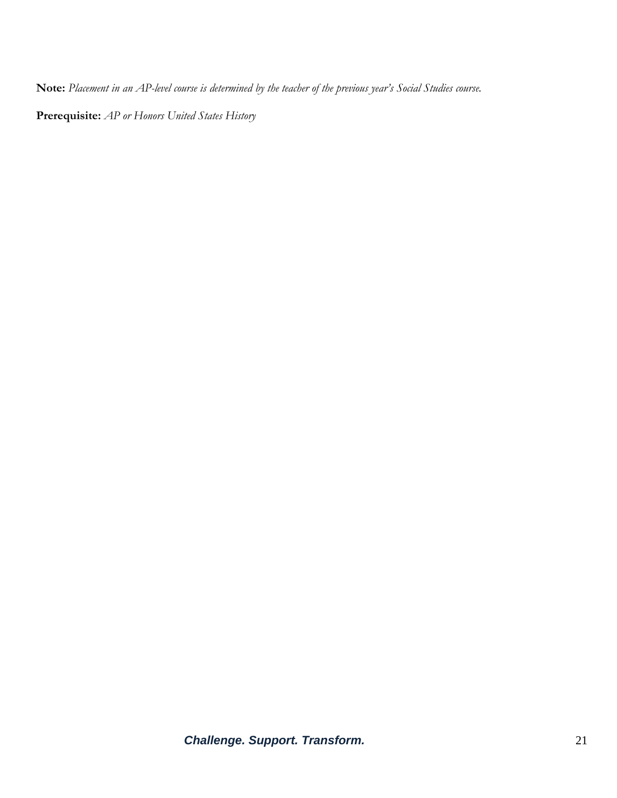**Note:** *Placement in an AP-level course is determined by the teacher of the previous year's Social Studies course.*

**Prerequisite:** *AP or Honors United States History*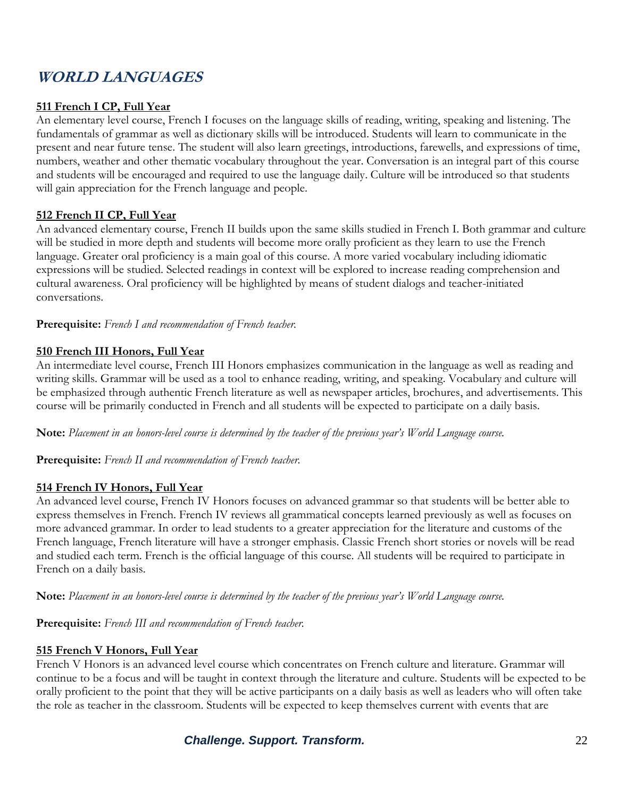## **WORLD LANGUAGES**

### **511 French I CP, Full Year**

An elementary level course, French I focuses on the language skills of reading, writing, speaking and listening. The fundamentals of grammar as well as dictionary skills will be introduced. Students will learn to communicate in the present and near future tense. The student will also learn greetings, introductions, farewells, and expressions of time, numbers, weather and other thematic vocabulary throughout the year. Conversation is an integral part of this course and students will be encouraged and required to use the language daily. Culture will be introduced so that students will gain appreciation for the French language and people.

#### **512 French II CP, Full Year**

An advanced elementary course, French II builds upon the same skills studied in French I. Both grammar and culture will be studied in more depth and students will become more orally proficient as they learn to use the French language. Greater oral proficiency is a main goal of this course. A more varied vocabulary including idiomatic expressions will be studied. Selected readings in context will be explored to increase reading comprehension and cultural awareness. Oral proficiency will be highlighted by means of student dialogs and teacher-initiated conversations.

**Prerequisite:** *French I and recommendation of French teacher.*

#### **510 French III Honors, Full Year**

An intermediate level course, French III Honors emphasizes communication in the language as well as reading and writing skills. Grammar will be used as a tool to enhance reading, writing, and speaking. Vocabulary and culture will be emphasized through authentic French literature as well as newspaper articles, brochures, and advertisements. This course will be primarily conducted in French and all students will be expected to participate on a daily basis.

**Note:** *Placement in an honors-level course is determined by the teacher of the previous year's World Language course.*

**Prerequisite:** *French II and recommendation of French teacher.*

#### **514 French IV Honors, Full Year**

An advanced level course, French IV Honors focuses on advanced grammar so that students will be better able to express themselves in French. French IV reviews all grammatical concepts learned previously as well as focuses on more advanced grammar. In order to lead students to a greater appreciation for the literature and customs of the French language, French literature will have a stronger emphasis. Classic French short stories or novels will be read and studied each term. French is the official language of this course. All students will be required to participate in French on a daily basis.

**Note:** *Placement in an honors-level course is determined by the teacher of the previous year's World Language course.*

**Prerequisite:** *French III and recommendation of French teacher.*

#### **515 French V Honors, Full Year**

French V Honors is an advanced level course which concentrates on French culture and literature. Grammar will continue to be a focus and will be taught in context through the literature and culture. Students will be expected to be orally proficient to the point that they will be active participants on a daily basis as well as leaders who will often take the role as teacher in the classroom. Students will be expected to keep themselves current with events that are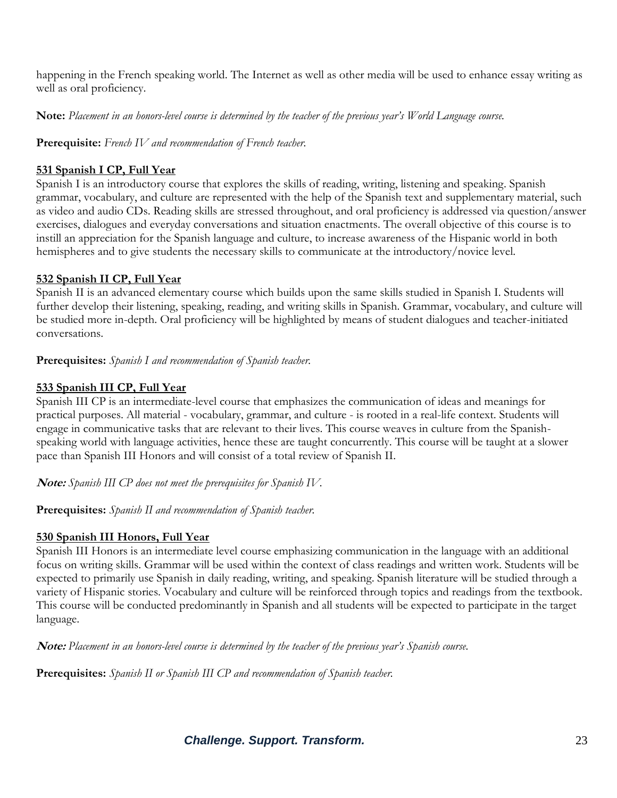happening in the French speaking world. The Internet as well as other media will be used to enhance essay writing as well as oral proficiency.

**Note:** *Placement in an honors-level course is determined by the teacher of the previous year's World Language course.*

**Prerequisite:** *French IV and recommendation of French teacher.*

### **531 Spanish I CP, Full Year**

Spanish I is an introductory course that explores the skills of reading, writing, listening and speaking. Spanish grammar, vocabulary, and culture are represented with the help of the Spanish text and supplementary material, such as video and audio CDs. Reading skills are stressed throughout, and oral proficiency is addressed via question/answer exercises, dialogues and everyday conversations and situation enactments. The overall objective of this course is to instill an appreciation for the Spanish language and culture, to increase awareness of the Hispanic world in both hemispheres and to give students the necessary skills to communicate at the introductory/novice level.

## **532 Spanish II CP, Full Year**

Spanish II is an advanced elementary course which builds upon the same skills studied in Spanish I. Students will further develop their listening, speaking, reading, and writing skills in Spanish. Grammar, vocabulary, and culture will be studied more in-depth. Oral proficiency will be highlighted by means of student dialogues and teacher-initiated conversations.

**Prerequisites:** *Spanish I and recommendation of Spanish teacher.*

## **533 Spanish III CP, Full Year**

Spanish III CP is an intermediate-level course that emphasizes the communication of ideas and meanings for practical purposes. All material - vocabulary, grammar, and culture - is rooted in a real-life context. Students will engage in communicative tasks that are relevant to their lives. This course weaves in culture from the Spanishspeaking world with language activities, hence these are taught concurrently. This course will be taught at a slower pace than Spanish III Honors and will consist of a total review of Spanish II.

**Note:** *Spanish III CP does not meet the prerequisites for Spanish IV.*

**Prerequisites:** *Spanish II and recommendation of Spanish teacher.*

## **530 Spanish III Honors, Full Year**

Spanish III Honors is an intermediate level course emphasizing communication in the language with an additional focus on writing skills. Grammar will be used within the context of class readings and written work. Students will be expected to primarily use Spanish in daily reading, writing, and speaking. Spanish literature will be studied through a variety of Hispanic stories. Vocabulary and culture will be reinforced through topics and readings from the textbook. This course will be conducted predominantly in Spanish and all students will be expected to participate in the target language.

**Note:** *Placement in an honors-level course is determined by the teacher of the previous year's Spanish course.*

**Prerequisites:** *Spanish II or Spanish III CP and recommendation of Spanish teacher.*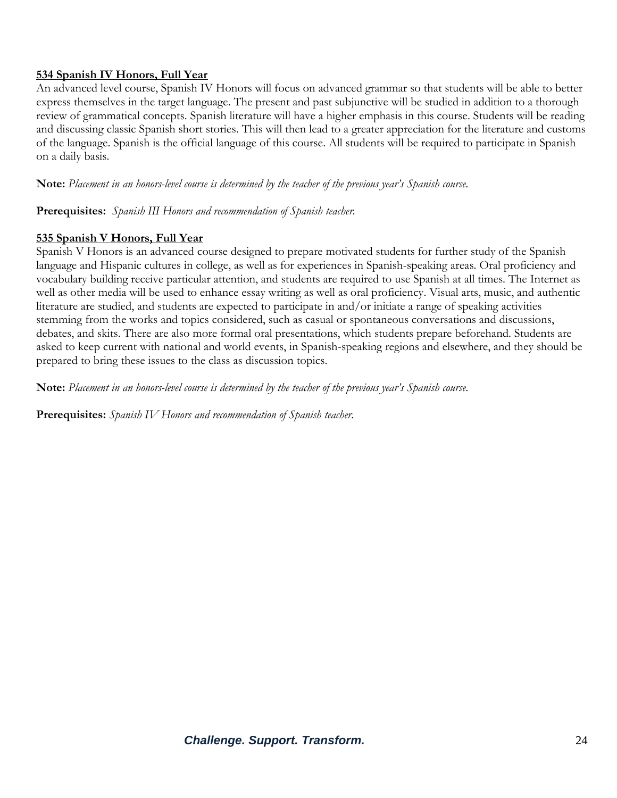### **534 Spanish IV Honors, Full Year**

An advanced level course, Spanish IV Honors will focus on advanced grammar so that students will be able to better express themselves in the target language. The present and past subjunctive will be studied in addition to a thorough review of grammatical concepts. Spanish literature will have a higher emphasis in this course. Students will be reading and discussing classic Spanish short stories. This will then lead to a greater appreciation for the literature and customs of the language. Spanish is the official language of this course. All students will be required to participate in Spanish on a daily basis.

**Note:** *Placement in an honors-level course is determined by the teacher of the previous year's Spanish course.*

**Prerequisites:** *Spanish III Honors and recommendation of Spanish teacher.*

#### **535 Spanish V Honors, Full Year**

Spanish V Honors is an advanced course designed to prepare motivated students for further study of the Spanish language and Hispanic cultures in college, as well as for experiences in Spanish-speaking areas. Oral proficiency and vocabulary building receive particular attention, and students are required to use Spanish at all times. The Internet as well as other media will be used to enhance essay writing as well as oral proficiency. Visual arts, music, and authentic literature are studied, and students are expected to participate in and/or initiate a range of speaking activities stemming from the works and topics considered, such as casual or spontaneous conversations and discussions, debates, and skits. There are also more formal oral presentations, which students prepare beforehand. Students are asked to keep current with national and world events, in Spanish-speaking regions and elsewhere, and they should be prepared to bring these issues to the class as discussion topics.

**Note:** *Placement in an honors-level course is determined by the teacher of the previous year's Spanish course.* 

**Prerequisites:** *Spanish IV Honors and recommendation of Spanish teacher.*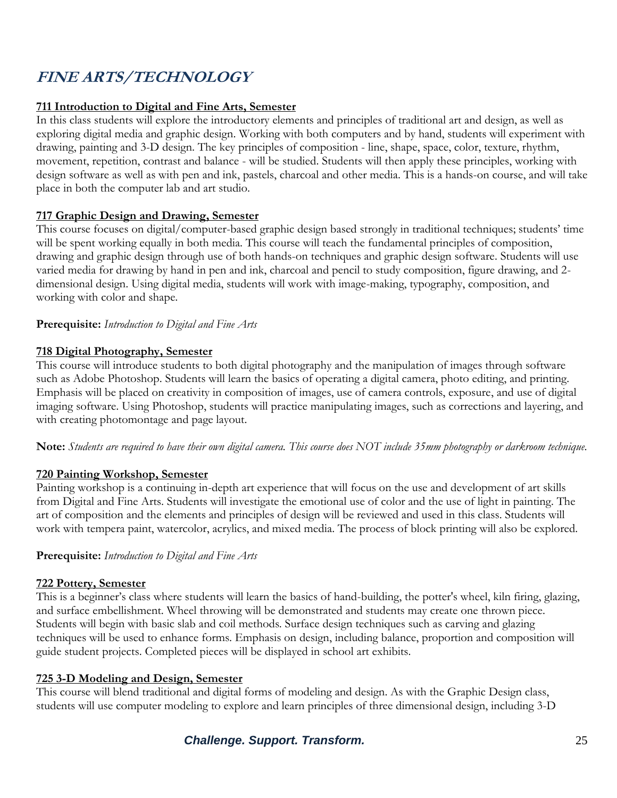## **FINE ARTS/TECHNOLOGY**

#### **711 Introduction to Digital and Fine Arts, Semester**

In this class students will explore the introductory elements and principles of traditional art and design, as well as exploring digital media and graphic design. Working with both computers and by hand, students will experiment with drawing, painting and 3-D design. The key principles of composition - line, shape, space, color, texture, rhythm, movement, repetition, contrast and balance - will be studied. Students will then apply these principles, working with design software as well as with pen and ink, pastels, charcoal and other media. This is a hands-on course, and will take place in both the computer lab and art studio.

#### **717 Graphic Design and Drawing, Semester**

This course focuses on digital/computer-based graphic design based strongly in traditional techniques; students' time will be spent working equally in both media. This course will teach the fundamental principles of composition, drawing and graphic design through use of both hands-on techniques and graphic design software. Students will use varied media for drawing by hand in pen and ink, charcoal and pencil to study composition, figure drawing, and 2 dimensional design. Using digital media, students will work with image-making, typography, composition, and working with color and shape.

#### **Prerequisite:** *Introduction to Digital and Fine Arts*

#### **718 Digital Photography, Semester**

This course will introduce students to both digital photography and the manipulation of images through software such as Adobe Photoshop. Students will learn the basics of operating a digital camera, photo editing, and printing. Emphasis will be placed on creativity in composition of images, use of camera controls, exposure, and use of digital imaging software. Using Photoshop, students will practice manipulating images, such as corrections and layering, and with creating photomontage and page layout.

**Note:** *Students are required to have their own digital camera. This course does NOT include 35mm photography or darkroom technique.*

#### **720 Painting Workshop, Semester**

Painting workshop is a continuing in-depth art experience that will focus on the use and development of art skills from Digital and Fine Arts. Students will investigate the emotional use of color and the use of light in painting. The art of composition and the elements and principles of design will be reviewed and used in this class. Students will work with tempera paint, watercolor, acrylics, and mixed media. The process of block printing will also be explored.

#### **Prerequisite:** *Introduction to Digital and Fine Arts*

#### **722 Pottery, Semester**

This is a beginner's class where students will learn the basics of hand-building, the potter's wheel, kiln firing, glazing, and surface embellishment. Wheel throwing will be demonstrated and students may create one thrown piece. Students will begin with basic slab and coil methods. Surface design techniques such as carving and glazing techniques will be used to enhance forms. Emphasis on design, including balance, proportion and composition will guide student projects. Completed pieces will be displayed in school art exhibits.

#### **725 3-D Modeling and Design, Semester**

This course will blend traditional and digital forms of modeling and design. As with the Graphic Design class, students will use computer modeling to explore and learn principles of three dimensional design, including 3-D

## *Challenge. Support. Transform.* 25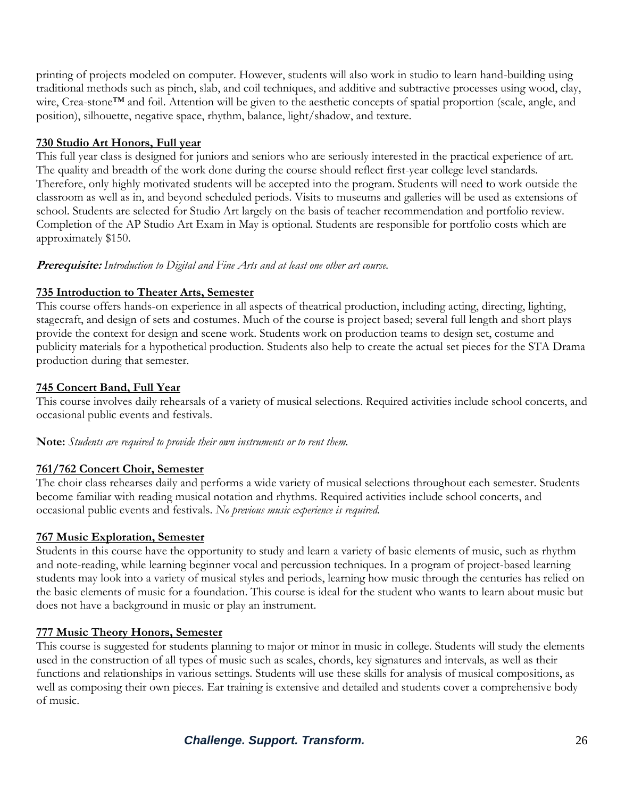printing of projects modeled on computer. However, students will also work in studio to learn hand-building using traditional methods such as pinch, slab, and coil techniques, and additive and subtractive processes using wood, clay, wire, Crea-stone™ and foil. Attention will be given to the aesthetic concepts of spatial proportion (scale, angle, and position), silhouette, negative space, rhythm, balance, light/shadow, and texture.

### **730 Studio Art Honors, Full year**

This full year class is designed for juniors and seniors who are seriously interested in the practical experience of art. The quality and breadth of the work done during the course should reflect first-year college level standards. Therefore, only highly motivated students will be accepted into the program. Students will need to work outside the classroom as well as in, and beyond scheduled periods. Visits to museums and galleries will be used as extensions of school. Students are selected for Studio Art largely on the basis of teacher recommendation and portfolio review. Completion of the AP Studio Art Exam in May is optional. Students are responsible for portfolio costs which are approximately \$150.

#### **Prerequisite:** *Introduction to Digital and Fine Arts and at least one other art course.*

## **735 Introduction to Theater Arts, Semester**

This course offers hands-on experience in all aspects of theatrical production, including acting, directing, lighting, stagecraft, and design of sets and costumes. Much of the course is project based; several full length and short plays provide the context for design and scene work. Students work on production teams to design set, costume and publicity materials for a hypothetical production. Students also help to create the actual set pieces for the STA Drama production during that semester.

## **745 Concert Band, Full Year**

This course involves daily rehearsals of a variety of musical selections. Required activities include school concerts, and occasional public events and festivals.

**Note:** *Students are required to provide their own instruments or to rent them.*

## **761/762 Concert Choir, Semester**

The choir class rehearses daily and performs a wide variety of musical selections throughout each semester. Students become familiar with reading musical notation and rhythms. Required activities include school concerts, and occasional public events and festivals. *No previous music experience is required.*

#### **767 Music Exploration, Semester**

Students in this course have the opportunity to study and learn a variety of basic elements of music, such as rhythm and note-reading, while learning beginner vocal and percussion techniques. In a program of project-based learning students may look into a variety of musical styles and periods, learning how music through the centuries has relied on the basic elements of music for a foundation. This course is ideal for the student who wants to learn about music but does not have a background in music or play an instrument.

#### **777 Music Theory Honors, Semester**

This course is suggested for students planning to major or minor in music in college. Students will study the elements used in the construction of all types of music such as scales, chords, key signatures and intervals, as well as their functions and relationships in various settings. Students will use these skills for analysis of musical compositions, as well as composing their own pieces. Ear training is extensive and detailed and students cover a comprehensive body of music.